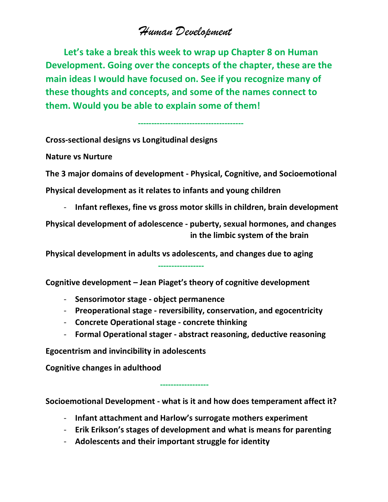## *Human Development*

 **Let's take a break this week to wrap up Chapter 8 on Human Development. Going over the concepts of the chapter, these are the main ideas I would have focused on. See if you recognize many of these thoughts and concepts, and some of the names connect to them. Would you be able to explain some of them!**

 **---------------------------------------**

**Cross-sectional designs vs Longitudinal designs**

**Nature vs Nurture**

**The 3 major domains of development - Physical, Cognitive, and Socioemotional**

**Physical development as it relates to infants and young children**

- **Infant reflexes, fine vs gross motor skills in children, brain development**

**Physical development of adolescence - puberty, sexual hormones, and changes in the limbic system of the brain**

**Physical development in adults vs adolescents, and changes due to aging**

**Cognitive development – Jean Piaget's theory of cognitive development**

- **Sensorimotor stage - object permanence**
- **Preoperational stage - reversibility, conservation, and egocentricity**
- **Concrete Operational stage - concrete thinking**
- **Formal Operational stager - abstract reasoning, deductive reasoning**

**Egocentrism and invincibility in adolescents**

 **------------------**

 **-----------------**

**Cognitive changes in adulthood**

**Socioemotional Development - what is it and how does temperament affect it?**

- **Infant attachment and Harlow's surrogate mothers experiment**
- **Erik Erikson's stages of development and what is means for parenting**
- **Adolescents and their important struggle for identity**